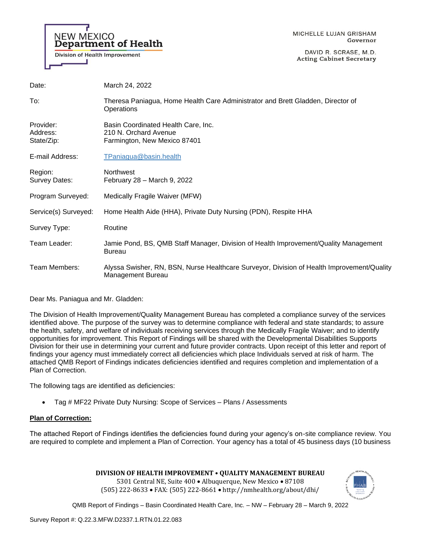

DAVID R. SCRASE, M.D. **Acting Cabinet Secretary** 

| Date:                               | March 24, 2022                                                                                                  |
|-------------------------------------|-----------------------------------------------------------------------------------------------------------------|
| To:                                 | Theresa Paniagua, Home Health Care Administrator and Brett Gladden, Director of<br>Operations                   |
| Provider:<br>Address:<br>State/Zip: | Basin Coordinated Health Care, Inc.<br>210 N. Orchard Avenue<br>Farmington, New Mexico 87401                    |
| E-mail Address:                     | TPaniagua@basin.health                                                                                          |
| Region:<br>Survey Dates:            | <b>Northwest</b><br>February 28 - March 9, 2022                                                                 |
| Program Surveyed:                   | Medically Fragile Waiver (MFW)                                                                                  |
| Service(s) Surveyed:                | Home Health Aide (HHA), Private Duty Nursing (PDN), Respite HHA                                                 |
| Survey Type:                        | Routine                                                                                                         |
| Team Leader:                        | Jamie Pond, BS, QMB Staff Manager, Division of Health Improvement/Quality Management<br><b>Bureau</b>           |
| Team Members:                       | Alyssa Swisher, RN, BSN, Nurse Healthcare Surveyor, Division of Health Improvement/Quality<br>Management Bureau |

Dear Ms. Paniagua and Mr. Gladden:

The Division of Health Improvement/Quality Management Bureau has completed a compliance survey of the services identified above. The purpose of the survey was to determine compliance with federal and state standards; to assure the health, safety, and welfare of individuals receiving services through the Medically Fragile Waiver; and to identify opportunities for improvement. This Report of Findings will be shared with the Developmental Disabilities Supports Division for their use in determining your current and future provider contracts. Upon receipt of this letter and report of findings your agency must immediately correct all deficiencies which place Individuals served at risk of harm. The attached QMB Report of Findings indicates deficiencies identified and requires completion and implementation of a Plan of Correction.

The following tags are identified as deficiencies:

• Tag # MF22 Private Duty Nursing: Scope of Services – Plans / Assessments

# **Plan of Correction:**

The attached Report of Findings identifies the deficiencies found during your agency's on-site compliance review. You are required to complete and implement a Plan of Correction. Your agency has a total of 45 business days (10 business

**DIVISION OF HEALTH IMPROVEMENT • QUALITY MANAGEMENT BUREAU** 

5301 Central NE, Suite 400 • Albuquerque, New Mexico • 87108 (505) 222-8633 • FAX: (505) 222-8661 • http://nmhealth.org/about/dhi/

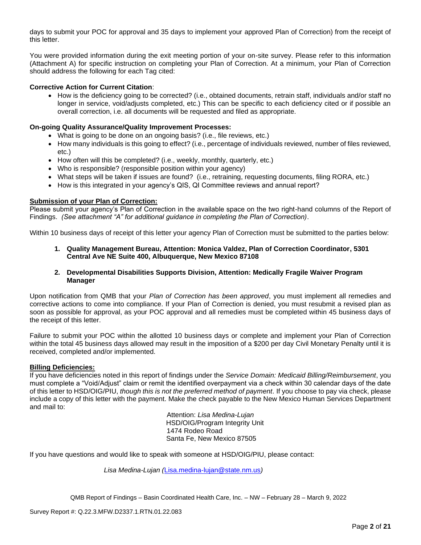days to submit your POC for approval and 35 days to implement your approved Plan of Correction) from the receipt of this letter.

You were provided information during the exit meeting portion of your on-site survey. Please refer to this information (Attachment A) for specific instruction on completing your Plan of Correction. At a minimum, your Plan of Correction should address the following for each Tag cited:

# **Corrective Action for Current Citation**:

• How is the deficiency going to be corrected? (i.e., obtained documents, retrain staff, individuals and/or staff no longer in service, void/adjusts completed, etc.) This can be specific to each deficiency cited or if possible an overall correction, i.e. all documents will be requested and filed as appropriate.

## **On-going Quality Assurance/Quality Improvement Processes:**

- What is going to be done on an ongoing basis? (i.e., file reviews, etc.)
- How many individuals is this going to effect? (i.e., percentage of individuals reviewed, number of files reviewed, etc.)
- How often will this be completed? (i.e., weekly, monthly, quarterly, etc.)
- Who is responsible? (responsible position within your agency)
- What steps will be taken if issues are found? (i.e., retraining, requesting documents, filing RORA, etc.)
- How is this integrated in your agency's QIS, QI Committee reviews and annual report?

# **Submission of your Plan of Correction:**

Please submit your agency's Plan of Correction in the available space on the two right-hand columns of the Report of Findings. *(See attachment "A" for additional guidance in completing the Plan of Correction)*.

Within 10 business days of receipt of this letter your agency Plan of Correction must be submitted to the parties below:

**1. Quality Management Bureau, Attention: Monica Valdez, Plan of Correction Coordinator, 5301 Central Ave NE Suite 400, Albuquerque, New Mexico 87108**

#### **2. Developmental Disabilities Supports Division, Attention: Medically Fragile Waiver Program Manager**

Upon notification from QMB that your *Plan of Correction has been approved*, you must implement all remedies and corrective actions to come into compliance. If your Plan of Correction is denied, you must resubmit a revised plan as soon as possible for approval, as your POC approval and all remedies must be completed within 45 business days of the receipt of this letter.

Failure to submit your POC within the allotted 10 business days or complete and implement your Plan of Correction within the total 45 business days allowed may result in the imposition of a \$200 per day Civil Monetary Penalty until it is received, completed and/or implemented.

#### **Billing Deficiencies:**

If you have deficiencies noted in this report of findings under the *Service Domain: Medicaid Billing/Reimbursement*, you must complete a "Void/Adjust" claim or remit the identified overpayment via a check within 30 calendar days of the date of this letter to HSD/OIG/PIU, *though this is not the preferred method of payment*. If you choose to pay via check, please include a copy of this letter with the payment. Make the check payable to the New Mexico Human Services Department and mail to:

> Attention: *Lisa Medina-Lujan* HSD/OIG/Program Integrity Unit 1474 Rodeo Road Santa Fe, New Mexico 87505

If you have questions and would like to speak with someone at HSD/OIG/PIU, please contact:

*Lisa Medina-Lujan (*[Lisa.medina-lujan@state.nm.us](mailto:Lisa.medina-lujan@state.nm.us)*)*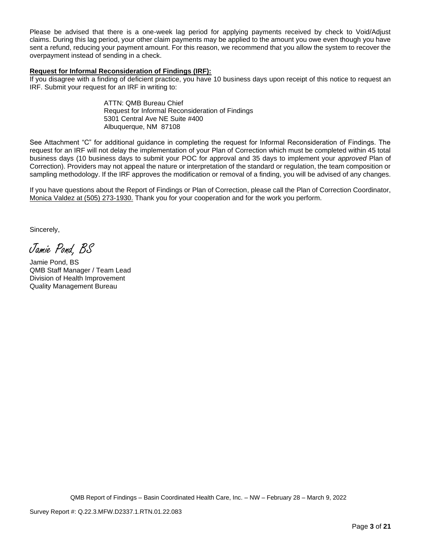Please be advised that there is a one-week lag period for applying payments received by check to Void/Adjust claims. During this lag period, your other claim payments may be applied to the amount you owe even though you have sent a refund, reducing your payment amount. For this reason, we recommend that you allow the system to recover the overpayment instead of sending in a check.

## **Request for Informal Reconsideration of Findings (IRF):**

If you disagree with a finding of deficient practice, you have 10 business days upon receipt of this notice to request an IRF. Submit your request for an IRF in writing to:

> ATTN: QMB Bureau Chief Request for Informal Reconsideration of Findings 5301 Central Ave NE Suite #400 Albuquerque, NM 87108

See Attachment "C" for additional guidance in completing the request for Informal Reconsideration of Findings. The request for an IRF will not delay the implementation of your Plan of Correction which must be completed within 45 total business days (10 business days to submit your POC for approval and 35 days to implement your *approved* Plan of Correction). Providers may not appeal the nature or interpretation of the standard or regulation, the team composition or sampling methodology. If the IRF approves the modification or removal of a finding, you will be advised of any changes.

If you have questions about the Report of Findings or Plan of Correction, please call the Plan of Correction Coordinator, Monica Valdez at (505) 273-1930. Thank you for your cooperation and for the work you perform.

Sincerely,

Jamie Pond, BS

Jamie Pond, BS QMB Staff Manager / Team Lead Division of Health Improvement Quality Management Bureau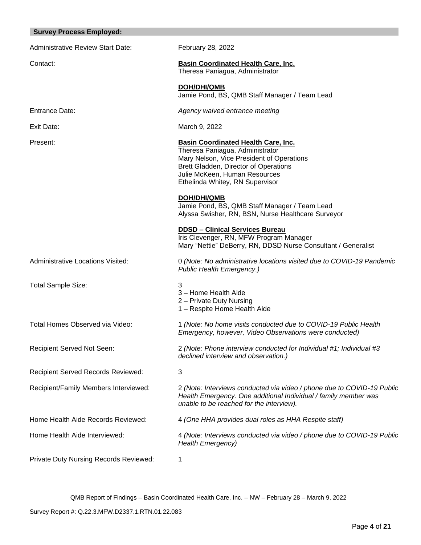| <b>Survey Process Employed:</b>               |                                                                                                                                                                                                                                         |
|-----------------------------------------------|-----------------------------------------------------------------------------------------------------------------------------------------------------------------------------------------------------------------------------------------|
| <b>Administrative Review Start Date:</b>      | February 28, 2022                                                                                                                                                                                                                       |
| Contact:                                      | <b>Basin Coordinated Health Care, Inc.</b><br>Theresa Paniagua, Administrator                                                                                                                                                           |
|                                               | <b>DOH/DHI/QMB</b><br>Jamie Pond, BS, QMB Staff Manager / Team Lead                                                                                                                                                                     |
| Entrance Date:                                | Agency waived entrance meeting                                                                                                                                                                                                          |
| Exit Date:                                    | March 9, 2022                                                                                                                                                                                                                           |
| Present:                                      | <b>Basin Coordinated Health Care, Inc.</b><br>Theresa Paniagua, Administrator<br>Mary Nelson, Vice President of Operations<br>Brett Gladden, Director of Operations<br>Julie McKeen, Human Resources<br>Ethelinda Whitey, RN Supervisor |
|                                               | DOH/DHI/QMB<br>Jamie Pond, BS, QMB Staff Manager / Team Lead<br>Alyssa Swisher, RN, BSN, Nurse Healthcare Surveyor                                                                                                                      |
|                                               | <b>DDSD - Clinical Services Bureau</b><br>Iris Clevenger, RN, MFW Program Manager<br>Mary "Nettie" DeBerry, RN, DDSD Nurse Consultant / Generalist                                                                                      |
| Administrative Locations Visited:             | 0 (Note: No administrative locations visited due to COVID-19 Pandemic<br>Public Health Emergency.)                                                                                                                                      |
| <b>Total Sample Size:</b>                     | 3<br>3 - Home Health Aide<br>2 - Private Duty Nursing<br>1 - Respite Home Health Aide                                                                                                                                                   |
| Total Homes Observed via Video:               | 1 (Note: No home visits conducted due to COVID-19 Public Health<br>Emergency, however, Video Observations were conducted)                                                                                                               |
| Recipient Served Not Seen:                    | 2 (Note: Phone interview conducted for Individual #1; Individual #3<br>declined interview and observation.)                                                                                                                             |
| <b>Recipient Served Records Reviewed:</b>     | 3                                                                                                                                                                                                                                       |
| Recipient/Family Members Interviewed:         | 2 (Note: Interviews conducted via video / phone due to COVID-19 Public<br>Health Emergency. One additional Individual / family member was<br>unable to be reached for the interview).                                                   |
| Home Health Aide Records Reviewed:            | 4 (One HHA provides dual roles as HHA Respite staff)                                                                                                                                                                                    |
| Home Health Aide Interviewed:                 | 4 (Note: Interviews conducted via video / phone due to COVID-19 Public<br><b>Health Emergency)</b>                                                                                                                                      |
| <b>Private Duty Nursing Records Reviewed:</b> | 1                                                                                                                                                                                                                                       |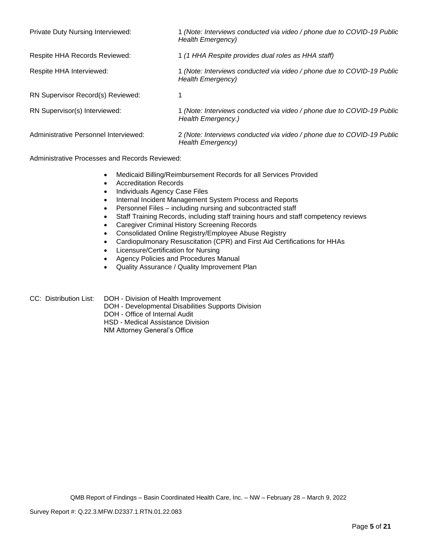| Private Duty Nursing Interviewed:        | 1 (Note: Interviews conducted via video / phone due to COVID-19 Public<br>Health Emergency)  |
|------------------------------------------|----------------------------------------------------------------------------------------------|
| Respite HHA Records Reviewed:            | 1 (1 HHA Respite provides dual roles as HHA staff)                                           |
| Respite HHA Interviewed:                 | 1 (Note: Interviews conducted via video / phone due to COVID-19 Public<br>Health Emergency)  |
| <b>RN Supervisor Record(s) Reviewed:</b> |                                                                                              |
| RN Supervisor(s) Interviewed:            | 1 (Note: Interviews conducted via video / phone due to COVID-19 Public<br>Health Emergency.) |
| Administrative Personnel Interviewed:    | 2 (Note: Interviews conducted via video / phone due to COVID-19 Public<br>Health Emergency)  |

Administrative Processes and Records Reviewed:

- Medicaid Billing/Reimbursement Records for all Services Provided
- Accreditation Records
- Individuals Agency Case Files
- Internal Incident Management System Process and Reports
- Personnel Files including nursing and subcontracted staff
- Staff Training Records, including staff training hours and staff competency reviews
- Caregiver Criminal History Screening Records
- Consolidated Online Registry/Employee Abuse Registry
- Cardiopulmonary Resuscitation (CPR) and First Aid Certifications for HHAs
- Licensure/Certification for Nursing
- Agency Policies and Procedures Manual
- Quality Assurance / Quality Improvement Plan
- CC: Distribution List: DOH Division of Health Improvement
	- DOH Developmental Disabilities Supports Division
	- DOH Office of Internal Audit
	- HSD Medical Assistance Division

NM Attorney General's Office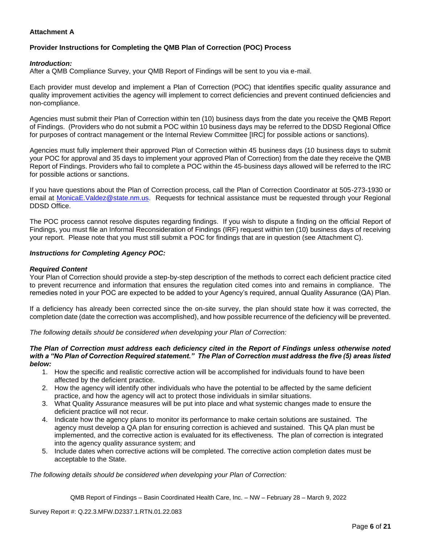# **Attachment A**

# **Provider Instructions for Completing the QMB Plan of Correction (POC) Process**

## *Introduction:*

After a QMB Compliance Survey, your QMB Report of Findings will be sent to you via e-mail.

Each provider must develop and implement a Plan of Correction (POC) that identifies specific quality assurance and quality improvement activities the agency will implement to correct deficiencies and prevent continued deficiencies and non-compliance.

Agencies must submit their Plan of Correction within ten (10) business days from the date you receive the QMB Report of Findings. (Providers who do not submit a POC within 10 business days may be referred to the DDSD Regional Office for purposes of contract management or the Internal Review Committee [IRC] for possible actions or sanctions).

Agencies must fully implement their approved Plan of Correction within 45 business days (10 business days to submit your POC for approval and 35 days to implement your approved Plan of Correction) from the date they receive the QMB Report of Findings. Providers who fail to complete a POC within the 45-business days allowed will be referred to the IRC for possible actions or sanctions.

If you have questions about the Plan of Correction process, call the Plan of Correction Coordinator at 505-273-1930 or email at [MonicaE.Valdez@state.nm.us.](mailto:MonicaE.Valdez@state.nm.us) Requests for technical assistance must be requested through your Regional DDSD Office.

The POC process cannot resolve disputes regarding findings. If you wish to dispute a finding on the official Report of Findings, you must file an Informal Reconsideration of Findings (IRF) request within ten (10) business days of receiving your report. Please note that you must still submit a POC for findings that are in question (see Attachment C).

#### *Instructions for Completing Agency POC:*

#### *Required Content*

Your Plan of Correction should provide a step-by-step description of the methods to correct each deficient practice cited to prevent recurrence and information that ensures the regulation cited comes into and remains in compliance. The remedies noted in your POC are expected to be added to your Agency's required, annual Quality Assurance (QA) Plan.

If a deficiency has already been corrected since the on-site survey, the plan should state how it was corrected, the completion date (date the correction was accomplished), and how possible recurrence of the deficiency will be prevented.

*The following details should be considered when developing your Plan of Correction:*

#### *The Plan of Correction must address each deficiency cited in the Report of Findings unless otherwise noted with a "No Plan of Correction Required statement." The Plan of Correction must address the five (5) areas listed below:*

- 1. How the specific and realistic corrective action will be accomplished for individuals found to have been affected by the deficient practice.
- 2. How the agency will identify other individuals who have the potential to be affected by the same deficient practice, and how the agency will act to protect those individuals in similar situations.
- 3. What Quality Assurance measures will be put into place and what systemic changes made to ensure the deficient practice will not recur.
- 4. Indicate how the agency plans to monitor its performance to make certain solutions are sustained. The agency must develop a QA plan for ensuring correction is achieved and sustained. This QA plan must be implemented, and the corrective action is evaluated for its effectiveness. The plan of correction is integrated into the agency quality assurance system; and
- 5. Include dates when corrective actions will be completed. The corrective action completion dates must be acceptable to the State.

*The following details should be considered when developing your Plan of Correction:*

QMB Report of Findings – Basin Coordinated Health Care, Inc. – NW – February 28 – March 9, 2022

Survey Report #: Q.22.3.MFW.D2337.1.RTN.01.22.083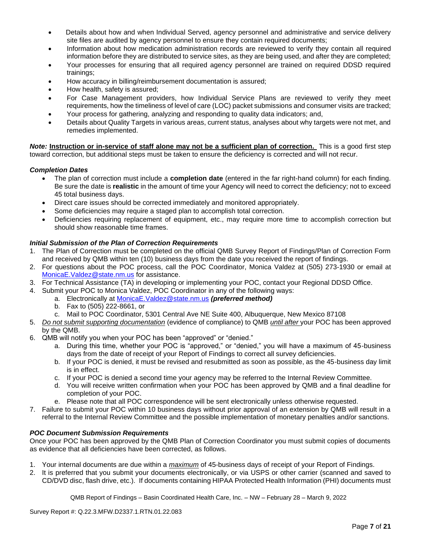- Details about how and when Individual Served, agency personnel and administrative and service delivery site files are audited by agency personnel to ensure they contain required documents;
- Information about how medication administration records are reviewed to verify they contain all required information before they are distributed to service sites, as they are being used, and after they are completed;
- Your processes for ensuring that all required agency personnel are trained on required DDSD required trainings;
- How accuracy in billing/reimbursement documentation is assured;
- How health, safety is assured;
- For Case Management providers, how Individual Service Plans are reviewed to verify they meet requirements, how the timeliness of level of care (LOC) packet submissions and consumer visits are tracked;
- Your process for gathering, analyzing and responding to quality data indicators; and,
- Details about Quality Targets in various areas, current status, analyses about why targets were not met, and remedies implemented.

*Note:* **Instruction or in-service of staff alone may not be a sufficient plan of correction.** This is a good first step toward correction, but additional steps must be taken to ensure the deficiency is corrected and will not recur.

# *Completion Dates*

- The plan of correction must include a **completion date** (entered in the far right-hand column) for each finding. Be sure the date is **realistic** in the amount of time your Agency will need to correct the deficiency; not to exceed 45 total business days.
- Direct care issues should be corrected immediately and monitored appropriately.
- Some deficiencies may require a staged plan to accomplish total correction.
- Deficiencies requiring replacement of equipment, etc., may require more time to accomplish correction but should show reasonable time frames.

# *Initial Submission of the Plan of Correction Requirements*

- 1. The Plan of Correction must be completed on the official QMB Survey Report of Findings/Plan of Correction Form and received by QMB within ten (10) business days from the date you received the report of findings.
- 2. For questions about the POC process, call the POC Coordinator, Monica Valdez at (505) 273-1930 or email at [MonicaE.Valdez@state.nm.us](mailto:MonicaE.Valdez@state.nm.us) for assistance.
- 3. For Technical Assistance (TA) in developing or implementing your POC, contact your Regional DDSD Office.
- 4. Submit your POC to Monica Valdez, POC Coordinator in any of the following ways:
	- a. Electronically at [MonicaE.Valdez@state.nm.us](mailto:MonicaE.Valdez@state.nm.us) *(preferred method)*
	- b. Fax to (505) 222-8661, or
	- c. Mail to POC Coordinator, 5301 Central Ave NE Suite 400, Albuquerque, New Mexico 87108
- 5. *Do not submit supporting documentation* (evidence of compliance) to QMB *until after* your POC has been approved by the QMB.
- 6. QMB will notify you when your POC has been "approved" or "denied."
	- a. During this time, whether your POC is "approved," or "denied," you will have a maximum of 45-business days from the date of receipt of your Report of Findings to correct all survey deficiencies.
	- b. If your POC is denied, it must be revised and resubmitted as soon as possible, as the 45-business day limit is in effect.
	- c. If your POC is denied a second time your agency may be referred to the Internal Review Committee.
	- d. You will receive written confirmation when your POC has been approved by QMB and a final deadline for completion of your POC.
	- e. Please note that all POC correspondence will be sent electronically unless otherwise requested.
- 7. Failure to submit your POC within 10 business days without prior approval of an extension by QMB will result in a referral to the Internal Review Committee and the possible implementation of monetary penalties and/or sanctions.

#### *POC Document Submission Requirements*

Once your POC has been approved by the QMB Plan of Correction Coordinator you must submit copies of documents as evidence that all deficiencies have been corrected, as follows.

- 1. Your internal documents are due within a *maximum* of 45-business days of receipt of your Report of Findings.
- 2. It is preferred that you submit your documents electronically, or via USPS or other carrier (scanned and saved to CD/DVD disc, flash drive, etc.). If documents containing HIPAA Protected Health Information (PHI) documents must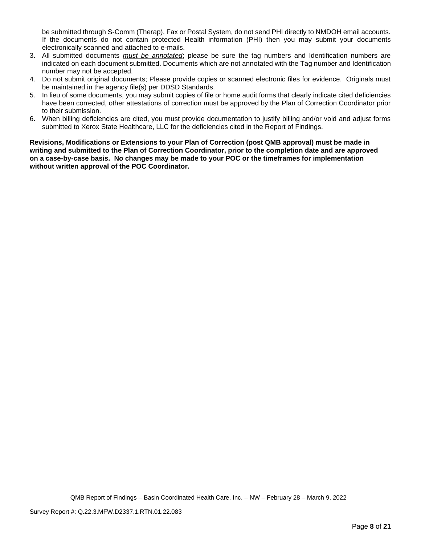be submitted through S-Comm (Therap), Fax or Postal System, do not send PHI directly to NMDOH email accounts. If the documents do not contain protected Health information (PHI) then you may submit your documents electronically scanned and attached to e-mails.

- 3. All submitted documents *must be annotated*; please be sure the tag numbers and Identification numbers are indicated on each document submitted. Documents which are not annotated with the Tag number and Identification number may not be accepted.
- 4. Do not submit original documents; Please provide copies or scanned electronic files for evidence. Originals must be maintained in the agency file(s) per DDSD Standards.
- 5. In lieu of some documents, you may submit copies of file or home audit forms that clearly indicate cited deficiencies have been corrected, other attestations of correction must be approved by the Plan of Correction Coordinator prior to their submission.
- 6. When billing deficiencies are cited, you must provide documentation to justify billing and/or void and adjust forms submitted to Xerox State Healthcare, LLC for the deficiencies cited in the Report of Findings.

**Revisions, Modifications or Extensions to your Plan of Correction (post QMB approval) must be made in writing and submitted to the Plan of Correction Coordinator, prior to the completion date and are approved on a case-by-case basis. No changes may be made to your POC or the timeframes for implementation without written approval of the POC Coordinator.**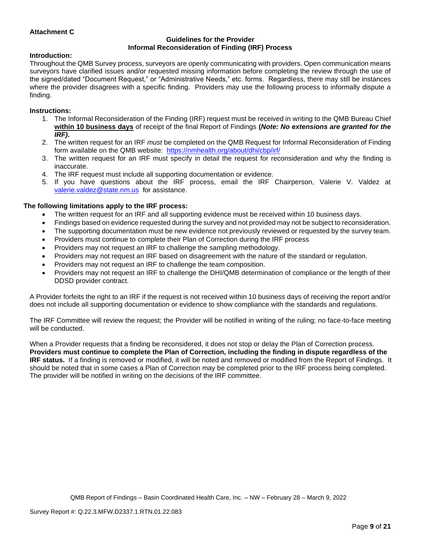## **Attachment C**

#### **Guidelines for the Provider Informal Reconsideration of Finding (IRF) Process**

# **Introduction:**

Throughout the QMB Survey process, surveyors are openly communicating with providers. Open communication means surveyors have clarified issues and/or requested missing information before completing the review through the use of the signed/dated "Document Request," or "Administrative Needs," etc. forms. Regardless, there may still be instances where the provider disagrees with a specific finding. Providers may use the following process to informally dispute a finding.

## **Instructions:**

- 1. The Informal Reconsideration of the Finding (IRF) request must be received in writing to the QMB Bureau Chief **within 10 business days** of receipt of the final Report of Findings **(***Note: No extensions are granted for the IRF)***.**
- 2. The written request for an IRF *must* be completed on the QMB Request for Informal Reconsideration of Finding form available on the QMB website: <https://nmhealth.org/about/dhi/cbp/irf/>
- 3. The written request for an IRF must specify in detail the request for reconsideration and why the finding is inaccurate.
- 4. The IRF request must include all supporting documentation or evidence.
- 5. If you have questions about the IRF process, email the IRF Chairperson, Valerie V. Valdez at [valerie.valdez@state.nm.us](mailto:valerie.valdez@state.nm.us) for assistance.

# **The following limitations apply to the IRF process:**

- The written request for an IRF and all supporting evidence must be received within 10 business days.
- Findings based on evidence requested during the survey and not provided may not be subject to reconsideration.
- The supporting documentation must be new evidence not previously reviewed or requested by the survey team.
- Providers must continue to complete their Plan of Correction during the IRF process
- Providers may not request an IRF to challenge the sampling methodology.
- Providers may not request an IRF based on disagreement with the nature of the standard or regulation.
- Providers may not request an IRF to challenge the team composition.
- Providers may not request an IRF to challenge the DHI/QMB determination of compliance or the length of their DDSD provider contract.

A Provider forfeits the right to an IRF if the request is not received within 10 business days of receiving the report and/or does not include all supporting documentation or evidence to show compliance with the standards and regulations.

The IRF Committee will review the request; the Provider will be notified in writing of the ruling; no face-to-face meeting will be conducted.

When a Provider requests that a finding be reconsidered, it does not stop or delay the Plan of Correction process. **Providers must continue to complete the Plan of Correction, including the finding in dispute regardless of the IRF status.** If a finding is removed or modified, it will be noted and removed or modified from the Report of Findings. It should be noted that in some cases a Plan of Correction may be completed prior to the IRF process being completed. The provider will be notified in writing on the decisions of the IRF committee.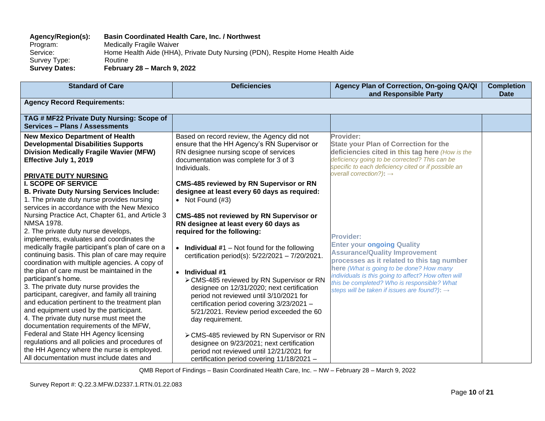# **Agency/Region(s): Basin Coordinated Health Care, Inc. / Northwest**

Program: Medically Fragile Waiver<br>Service: Home Health Aide (HHA) Home Health Aide (HHA), Private Duty Nursing (PDN), Respite Home Health Aide Survey Type: Routine<br>
Survey Dates: Februar **Survey Dates: February 28 – March 9, 2022**

| <b>Standard of Care</b>                                                                                                                                                                                                                                                                                                                        | <b>Deficiencies</b>                                                                                                                                                                                                                                                        | Agency Plan of Correction, On-going QA/QI<br>and Responsible Party                                                                                                                                                                                          | <b>Completion</b><br><b>Date</b> |
|------------------------------------------------------------------------------------------------------------------------------------------------------------------------------------------------------------------------------------------------------------------------------------------------------------------------------------------------|----------------------------------------------------------------------------------------------------------------------------------------------------------------------------------------------------------------------------------------------------------------------------|-------------------------------------------------------------------------------------------------------------------------------------------------------------------------------------------------------------------------------------------------------------|----------------------------------|
| <b>Agency Record Requirements:</b>                                                                                                                                                                                                                                                                                                             |                                                                                                                                                                                                                                                                            |                                                                                                                                                                                                                                                             |                                  |
| TAG # MF22 Private Duty Nursing: Scope of<br>Services - Plans / Assessments                                                                                                                                                                                                                                                                    |                                                                                                                                                                                                                                                                            |                                                                                                                                                                                                                                                             |                                  |
| <b>New Mexico Department of Health</b><br><b>Developmental Disabilities Supports</b><br><b>Division Medically Fragile Wavier (MFW)</b><br>Effective July 1, 2019<br><b>PRIVATE DUTY NURSING</b>                                                                                                                                                | Based on record review, the Agency did not<br>ensure that the HH Agency's RN Supervisor or<br>RN designee nursing scope of services<br>documentation was complete for 3 of 3<br>Individuals.                                                                               | Provider:<br><b>State your Plan of Correction for the</b><br>deficiencies cited in this tag here (How is the<br>deficiency going to be corrected? This can be<br>specific to each deficiency cited or if possible an<br>overall correction?): $\rightarrow$ |                                  |
| <b>I. SCOPE OF SERVICE</b><br><b>B. Private Duty Nursing Services Include:</b><br>1. The private duty nurse provides nursing<br>services in accordance with the New Mexico<br>Nursing Practice Act, Chapter 61, and Article 3<br><b>NMSA 1978.</b>                                                                                             | <b>CMS-485 reviewed by RN Supervisor or RN</b><br>designee at least every 60 days as required:<br>• Not Found $(H3)$<br><b>CMS-485 not reviewed by RN Supervisor or</b><br>RN designee at least every 60 days as                                                           |                                                                                                                                                                                                                                                             |                                  |
| 2. The private duty nurse develops,<br>implements, evaluates and coordinates the<br>medically fragile participant's plan of care on a<br>continuing basis. This plan of care may require<br>coordination with multiple agencies. A copy of                                                                                                     | required for the following:<br>• Individual $#1$ – Not found for the following<br>certification period(s): 5/22/2021 - 7/20/2021.                                                                                                                                          | <b>Provider:</b><br><b>Enter your ongoing Quality</b><br><b>Assurance/Quality Improvement</b><br>processes as it related to this tag number<br>here (What is going to be done? How many                                                                     |                                  |
| the plan of care must be maintained in the<br>participant's home.<br>3. The private duty nurse provides the<br>participant, caregiver, and family all training<br>and education pertinent to the treatment plan<br>and equipment used by the participant.<br>4. The private duty nurse must meet the<br>documentation requirements of the MFW, | $\bullet$ Individual #1<br>> CMS-485 reviewed by RN Supervisor or RN<br>designee on 12/31/2020; next certification<br>period not reviewed until 3/10/2021 for<br>certification period covering 3/23/2021 -<br>5/21/2021. Review period exceeded the 60<br>day requirement. | individuals is this going to affect? How often will<br>this be completed? Who is responsible? What<br>steps will be taken if issues are found?): $\rightarrow$                                                                                              |                                  |
| Federal and State HH Agency licensing<br>regulations and all policies and procedures of<br>the HH Agency where the nurse is employed.<br>All documentation must include dates and                                                                                                                                                              | > CMS-485 reviewed by RN Supervisor or RN<br>designee on 9/23/2021; next certification<br>period not reviewed until 12/21/2021 for<br>certification period covering 11/18/2021 -                                                                                           |                                                                                                                                                                                                                                                             |                                  |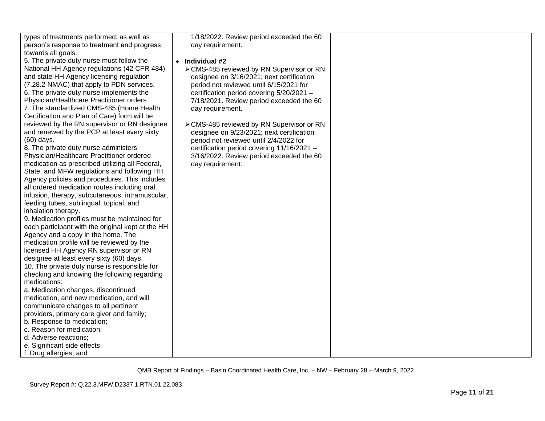| types of treatments performed; as well as   |
|---------------------------------------------|
| person's response to treatment and progress |
| towards all goals.                          |

5. The private duty nurse must follow the National HH Agency regulations (42 CFR 484) and state HH Agency licensing regulation (7.28.2 NMAC) that apply to PDN services. 6. The private duty nurse implements the Physician/Healthcare Practitioner orders. 7. The standardized CMS-485 (Home Health Certification and Plan of Care) form will be reviewed by the RN supervisor or RN designee and renewed by the PCP at least every sixty (60) days.

8. The private duty nurse administers Physician/Healthcare Practitioner ordered medication as prescribed utilizing all Federal, State, and MFW regulations and following HH Agency policies and procedures. This includes all ordered medication routes including oral, infusion, therapy, subcutaneous, intramuscular, feeding tubes, sublingual, topical, and inhalation therapy.

9. Medication profiles must be maintained for each participant with the original kept at the HH Agency and a copy in the home. The medication profile will be reviewed by the licensed HH Agency RN supervisor or RN designee at least every sixty (60) days. 10. The private duty nurse is responsible for checking and knowing the following regarding medications:

a. Medication changes, discontinued medication, and new medication, and will communicate changes to all pertinent providers, primary care giver and family;

- b. Response to medication;
- c. Reason for medication;
- d. Adverse reactions;
- e. Significant side effects;
- f. Drug allergies; and

1/18/2022. Review period exceeded the 60 day requirement.

- **Individual #2**
	- ➢CMS-485 reviewed by RN Supervisor or RN designee on 3/16/2021; next certification period not reviewed until 6/15/2021 for certification period covering 5/20/2021 – 7/18/2021. Review period exceeded the 60 day requirement.
	- ➢CMS-485 reviewed by RN Supervisor or RN designee on 9/23/2021; next certification period not reviewed until 2/4/2022 for certification period covering 11/16/2021 – 3/16/2022. Review period exceeded the 60 day requirement.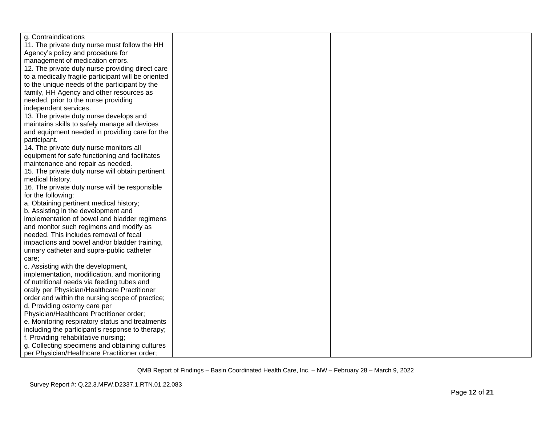| g. Contraindications                                |  |  |
|-----------------------------------------------------|--|--|
| 11. The private duty nurse must follow the HH       |  |  |
| Agency's policy and procedure for                   |  |  |
| management of medication errors.                    |  |  |
| 12. The private duty nurse providing direct care    |  |  |
| to a medically fragile participant will be oriented |  |  |
| to the unique needs of the participant by the       |  |  |
| family, HH Agency and other resources as            |  |  |
| needed, prior to the nurse providing                |  |  |
| independent services.                               |  |  |
| 13. The private duty nurse develops and             |  |  |
| maintains skills to safely manage all devices       |  |  |
| and equipment needed in providing care for the      |  |  |
| participant.                                        |  |  |
| 14. The private duty nurse monitors all             |  |  |
| equipment for safe functioning and facilitates      |  |  |
| maintenance and repair as needed.                   |  |  |
| 15. The private duty nurse will obtain pertinent    |  |  |
| medical history.                                    |  |  |
| 16. The private duty nurse will be responsible      |  |  |
| for the following:                                  |  |  |
| a. Obtaining pertinent medical history;             |  |  |
| b. Assisting in the development and                 |  |  |
| implementation of bowel and bladder regimens        |  |  |
| and monitor such regimens and modify as             |  |  |
| needed. This includes removal of fecal              |  |  |
| impactions and bowel and/or bladder training,       |  |  |
| urinary catheter and supra-public catheter          |  |  |
| care;                                               |  |  |
| c. Assisting with the development,                  |  |  |
| implementation, modification, and monitoring        |  |  |
| of nutritional needs via feeding tubes and          |  |  |
| orally per Physician/Healthcare Practitioner        |  |  |
| order and within the nursing scope of practice;     |  |  |
| d. Providing ostomy care per                        |  |  |
| Physician/Healthcare Practitioner order;            |  |  |
| e. Monitoring respiratory status and treatments     |  |  |
| including the participant's response to therapy;    |  |  |
| f. Providing rehabilitative nursing;                |  |  |
| g. Collecting specimens and obtaining cultures      |  |  |
| per Physician/Healthcare Practitioner order;        |  |  |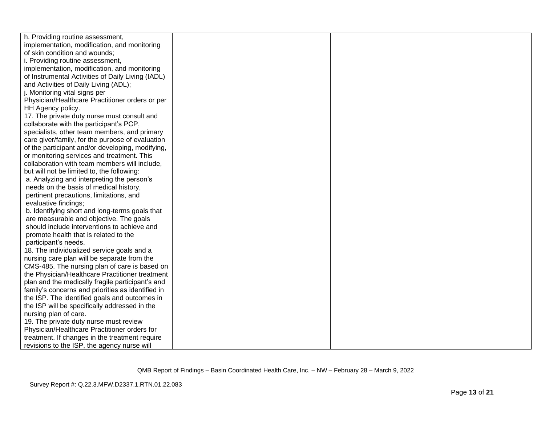| h. Providing routine assessment,                  |  |  |
|---------------------------------------------------|--|--|
| implementation, modification, and monitoring      |  |  |
| of skin condition and wounds;                     |  |  |
| i. Providing routine assessment,                  |  |  |
| implementation, modification, and monitoring      |  |  |
| of Instrumental Activities of Daily Living (IADL) |  |  |
| and Activities of Daily Living (ADL);             |  |  |
| j. Monitoring vital signs per                     |  |  |
| Physician/Healthcare Practitioner orders or per   |  |  |
| HH Agency policy.                                 |  |  |
| 17. The private duty nurse must consult and       |  |  |
| collaborate with the participant's PCP,           |  |  |
| specialists, other team members, and primary      |  |  |
| care giver/family, for the purpose of evaluation  |  |  |
| of the participant and/or developing, modifying,  |  |  |
| or monitoring services and treatment. This        |  |  |
| collaboration with team members will include,     |  |  |
| but will not be limited to, the following:        |  |  |
| a. Analyzing and interpreting the person's        |  |  |
| needs on the basis of medical history,            |  |  |
| pertinent precautions, limitations, and           |  |  |
| evaluative findings;                              |  |  |
| b. Identifying short and long-terms goals that    |  |  |
| are measurable and objective. The goals           |  |  |
| should include interventions to achieve and       |  |  |
| promote health that is related to the             |  |  |
| participant's needs.                              |  |  |
| 18. The individualized service goals and a        |  |  |
| nursing care plan will be separate from the       |  |  |
| CMS-485. The nursing plan of care is based on     |  |  |
| the Physician/Healthcare Practitioner treatment   |  |  |
| plan and the medically fragile participant's and  |  |  |
| family's concerns and priorities as identified in |  |  |
| the ISP. The identified goals and outcomes in     |  |  |
| the ISP will be specifically addressed in the     |  |  |
| nursing plan of care.                             |  |  |
| 19. The private duty nurse must review            |  |  |
| Physician/Healthcare Practitioner orders for      |  |  |
| treatment. If changes in the treatment require    |  |  |
| revisions to the ISP, the agency nurse will       |  |  |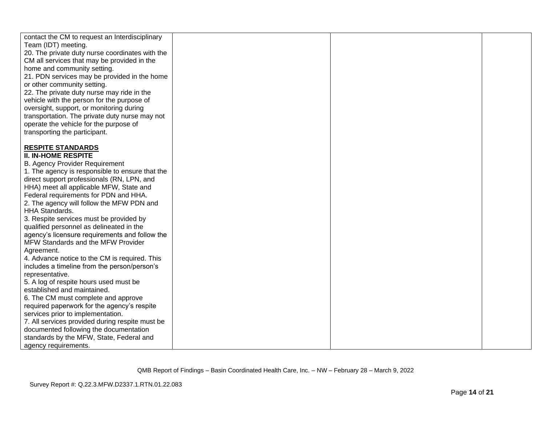| contact the CM to request an Interdisciplinary<br>Team (IDT) meeting.                         |  |  |
|-----------------------------------------------------------------------------------------------|--|--|
| 20. The private duty nurse coordinates with the                                               |  |  |
| CM all services that may be provided in the                                                   |  |  |
| home and community setting.                                                                   |  |  |
| 21. PDN services may be provided in the home                                                  |  |  |
| or other community setting.                                                                   |  |  |
| 22. The private duty nurse may ride in the                                                    |  |  |
| vehicle with the person for the purpose of                                                    |  |  |
| oversight, support, or monitoring during                                                      |  |  |
| transportation. The private duty nurse may not                                                |  |  |
| operate the vehicle for the purpose of                                                        |  |  |
| transporting the participant.                                                                 |  |  |
|                                                                                               |  |  |
| <b>RESPITE STANDARDS</b>                                                                      |  |  |
| <b>II. IN-HOME RESPITE</b>                                                                    |  |  |
| <b>B. Agency Provider Requirement</b>                                                         |  |  |
| 1. The agency is responsible to ensure that the<br>direct support professionals (RN, LPN, and |  |  |
| HHA) meet all applicable MFW, State and                                                       |  |  |
| Federal requirements for PDN and HHA.                                                         |  |  |
| 2. The agency will follow the MFW PDN and                                                     |  |  |
| <b>HHA Standards.</b>                                                                         |  |  |
| 3. Respite services must be provided by                                                       |  |  |
| qualified personnel as delineated in the                                                      |  |  |
| agency's licensure requirements and follow the                                                |  |  |
| MFW Standards and the MFW Provider                                                            |  |  |
| Agreement.                                                                                    |  |  |
| 4. Advance notice to the CM is required. This                                                 |  |  |
| includes a timeline from the person/person's                                                  |  |  |
| representative.                                                                               |  |  |
| 5. A log of respite hours used must be                                                        |  |  |
| established and maintained.                                                                   |  |  |
| 6. The CM must complete and approve                                                           |  |  |
| required paperwork for the agency's respite<br>services prior to implementation.              |  |  |
| 7. All services provided during respite must be                                               |  |  |
| documented following the documentation                                                        |  |  |
| standards by the MFW, State, Federal and                                                      |  |  |
| agency requirements.                                                                          |  |  |
|                                                                                               |  |  |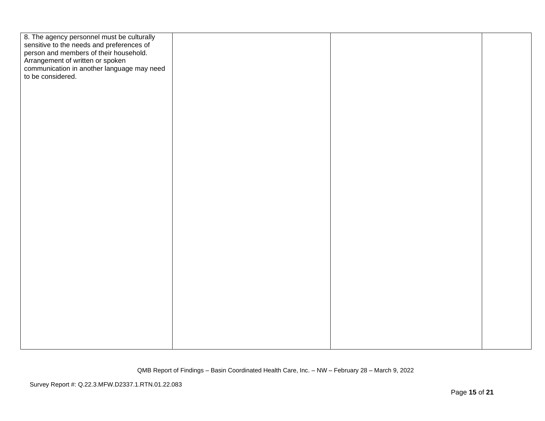| 8. The agency personnel must be culturally<br>sensitive to the needs and preferences of<br>person and members of their household. |  |  |
|-----------------------------------------------------------------------------------------------------------------------------------|--|--|
| Arrangement of written or spoken                                                                                                  |  |  |
| communication in another language may need                                                                                        |  |  |
| to be considered.                                                                                                                 |  |  |
|                                                                                                                                   |  |  |
|                                                                                                                                   |  |  |
|                                                                                                                                   |  |  |
|                                                                                                                                   |  |  |
|                                                                                                                                   |  |  |
|                                                                                                                                   |  |  |
|                                                                                                                                   |  |  |
|                                                                                                                                   |  |  |
|                                                                                                                                   |  |  |
|                                                                                                                                   |  |  |
|                                                                                                                                   |  |  |
|                                                                                                                                   |  |  |
|                                                                                                                                   |  |  |
|                                                                                                                                   |  |  |
|                                                                                                                                   |  |  |
|                                                                                                                                   |  |  |
|                                                                                                                                   |  |  |
|                                                                                                                                   |  |  |
|                                                                                                                                   |  |  |
|                                                                                                                                   |  |  |
|                                                                                                                                   |  |  |
|                                                                                                                                   |  |  |
|                                                                                                                                   |  |  |
|                                                                                                                                   |  |  |
|                                                                                                                                   |  |  |
|                                                                                                                                   |  |  |
|                                                                                                                                   |  |  |
|                                                                                                                                   |  |  |
|                                                                                                                                   |  |  |
|                                                                                                                                   |  |  |
|                                                                                                                                   |  |  |
|                                                                                                                                   |  |  |
|                                                                                                                                   |  |  |
|                                                                                                                                   |  |  |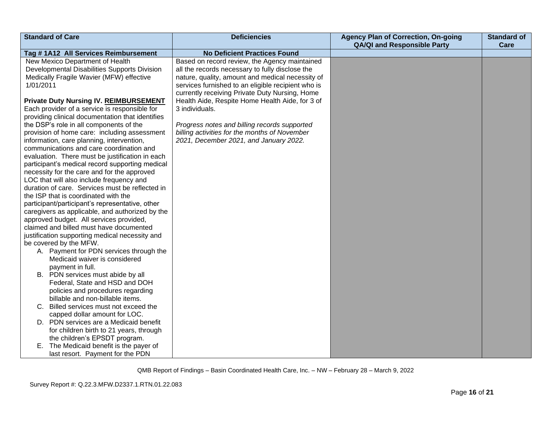| <b>Standard of Care</b>                                                                                                                                                                                                                                                                                                                                                                                                                                                                                                                                                                                                                                                                                                                                                                                                                                                                                                                                                                                                                                                                                                | <b>Deficiencies</b>                                                                                                                                                                                                                                            | <b>Agency Plan of Correction, On-going</b><br><b>QA/QI and Responsible Party</b> | <b>Standard of</b><br>Care |
|------------------------------------------------------------------------------------------------------------------------------------------------------------------------------------------------------------------------------------------------------------------------------------------------------------------------------------------------------------------------------------------------------------------------------------------------------------------------------------------------------------------------------------------------------------------------------------------------------------------------------------------------------------------------------------------------------------------------------------------------------------------------------------------------------------------------------------------------------------------------------------------------------------------------------------------------------------------------------------------------------------------------------------------------------------------------------------------------------------------------|----------------------------------------------------------------------------------------------------------------------------------------------------------------------------------------------------------------------------------------------------------------|----------------------------------------------------------------------------------|----------------------------|
| Tag #1A12 All Services Reimbursement                                                                                                                                                                                                                                                                                                                                                                                                                                                                                                                                                                                                                                                                                                                                                                                                                                                                                                                                                                                                                                                                                   | <b>No Deficient Practices Found</b>                                                                                                                                                                                                                            |                                                                                  |                            |
| New Mexico Department of Health<br>Developmental Disabilities Supports Division<br>Medically Fragile Wavier (MFW) effective<br>1/01/2011                                                                                                                                                                                                                                                                                                                                                                                                                                                                                                                                                                                                                                                                                                                                                                                                                                                                                                                                                                               | Based on record review, the Agency maintained<br>all the records necessary to fully disclose the<br>nature, quality, amount and medical necessity of<br>services furnished to an eligible recipient who is                                                     |                                                                                  |                            |
| <b>Private Duty Nursing IV. REIMBURSEMENT</b><br>Each provider of a service is responsible for<br>providing clinical documentation that identifies<br>the DSP's role in all components of the<br>provision of home care: including assessment<br>information, care planning, intervention,<br>communications and care coordination and<br>evaluation. There must be justification in each<br>participant's medical record supporting medical<br>necessity for the care and for the approved<br>LOC that will also include frequency and<br>duration of care. Services must be reflected in<br>the ISP that is coordinated with the<br>participant/participant's representative, other<br>caregivers as applicable, and authorized by the<br>approved budget. All services provided,<br>claimed and billed must have documented<br>justification supporting medical necessity and<br>be covered by the MFW.<br>A. Payment for PDN services through the<br>Medicaid waiver is considered<br>payment in full.<br>B. PDN services must abide by all<br>Federal, State and HSD and DOH<br>policies and procedures regarding | currently receiving Private Duty Nursing, Home<br>Health Aide, Respite Home Health Aide, for 3 of<br>3 individuals.<br>Progress notes and billing records supported<br>billing activities for the months of November<br>2021, December 2021, and January 2022. |                                                                                  |                            |
| billable and non-billable items.<br>C. Billed services must not exceed the<br>capped dollar amount for LOC.                                                                                                                                                                                                                                                                                                                                                                                                                                                                                                                                                                                                                                                                                                                                                                                                                                                                                                                                                                                                            |                                                                                                                                                                                                                                                                |                                                                                  |                            |
| D. PDN services are a Medicaid benefit<br>for children birth to 21 years, through<br>the children's EPSDT program.                                                                                                                                                                                                                                                                                                                                                                                                                                                                                                                                                                                                                                                                                                                                                                                                                                                                                                                                                                                                     |                                                                                                                                                                                                                                                                |                                                                                  |                            |
| E. The Medicaid benefit is the payer of<br>last resort. Payment for the PDN                                                                                                                                                                                                                                                                                                                                                                                                                                                                                                                                                                                                                                                                                                                                                                                                                                                                                                                                                                                                                                            |                                                                                                                                                                                                                                                                |                                                                                  |                            |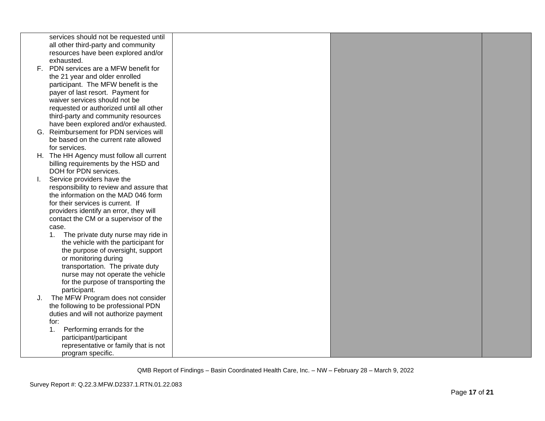|     | services should not be requested until   |  |  |
|-----|------------------------------------------|--|--|
|     | all other third-party and community      |  |  |
|     | resources have been explored and/or      |  |  |
|     | exhausted.                               |  |  |
| F., | PDN services are a MFW benefit for       |  |  |
|     | the 21 year and older enrolled           |  |  |
|     | participant. The MFW benefit is the      |  |  |
|     | payer of last resort. Payment for        |  |  |
|     | waiver services should not be            |  |  |
|     | requested or authorized until all other  |  |  |
|     | third-party and community resources      |  |  |
|     | have been explored and/or exhausted.     |  |  |
| G.  | Reimbursement for PDN services will      |  |  |
|     | be based on the current rate allowed     |  |  |
|     | for services.                            |  |  |
|     | H. The HH Agency must follow all current |  |  |
|     | billing requirements by the HSD and      |  |  |
|     | DOH for PDN services.                    |  |  |
| L.  | Service providers have the               |  |  |
|     | responsibility to review and assure that |  |  |
|     | the information on the MAD 046 form      |  |  |
|     | for their services is current. If        |  |  |
|     | providers identify an error, they will   |  |  |
|     | contact the CM or a supervisor of the    |  |  |
|     | case.                                    |  |  |
|     | The private duty nurse may ride in<br>1. |  |  |
|     | the vehicle with the participant for     |  |  |
|     | the purpose of oversight, support        |  |  |
|     | or monitoring during                     |  |  |
|     | transportation. The private duty         |  |  |
|     | nurse may not operate the vehicle        |  |  |
|     | for the purpose of transporting the      |  |  |
|     | participant.                             |  |  |
| J.  | The MFW Program does not consider        |  |  |
|     | the following to be professional PDN     |  |  |
|     | duties and will not authorize payment    |  |  |
|     | for:                                     |  |  |
|     | Performing errands for the<br>1.         |  |  |
|     | participant/participant                  |  |  |
|     | representative or family that is not     |  |  |
|     | program specific.                        |  |  |
|     |                                          |  |  |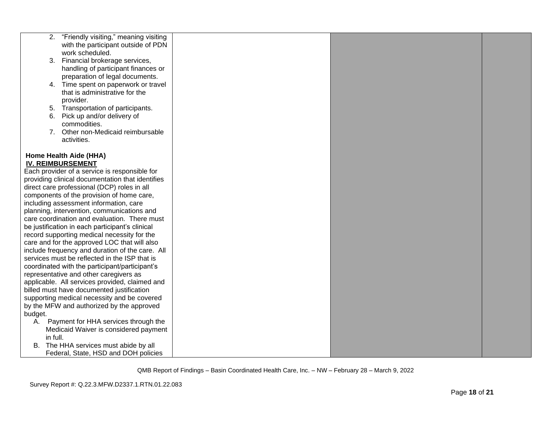|          | 2. "Friendly visiting," meaning visiting           |  |  |
|----------|----------------------------------------------------|--|--|
|          | with the participant outside of PDN                |  |  |
|          | work scheduled.                                    |  |  |
|          | 3. Financial brokerage services,                   |  |  |
|          | handling of participant finances or                |  |  |
|          | preparation of legal documents.                    |  |  |
|          | 4. Time spent on paperwork or travel               |  |  |
|          | that is administrative for the                     |  |  |
|          | provider.                                          |  |  |
|          | 5. Transportation of participants.                 |  |  |
| 6.       | Pick up and/or delivery of                         |  |  |
|          | commodities.                                       |  |  |
|          | 7. Other non-Medicaid reimbursable                 |  |  |
|          | activities.                                        |  |  |
|          |                                                    |  |  |
|          | Home Health Aide (HHA)<br><b>IV. REIMBURSEMENT</b> |  |  |
|          | Each provider of a service is responsible for      |  |  |
|          | providing clinical documentation that identifies   |  |  |
|          | direct care professional (DCP) roles in all        |  |  |
|          | components of the provision of home care,          |  |  |
|          | including assessment information, care             |  |  |
|          | planning, intervention, communications and         |  |  |
|          | care coordination and evaluation. There must       |  |  |
|          | be justification in each participant's clinical    |  |  |
|          | record supporting medical necessity for the        |  |  |
|          | care and for the approved LOC that will also       |  |  |
|          | include frequency and duration of the care. All    |  |  |
|          | services must be reflected in the ISP that is      |  |  |
|          | coordinated with the participant/participant's     |  |  |
|          | representative and other caregivers as             |  |  |
|          | applicable. All services provided, claimed and     |  |  |
|          | billed must have documented justification          |  |  |
|          | supporting medical necessity and be covered        |  |  |
|          | by the MFW and authorized by the approved          |  |  |
| budget.  |                                                    |  |  |
| А.       | Payment for HHA services through the               |  |  |
|          | Medicaid Waiver is considered payment              |  |  |
| in full. |                                                    |  |  |
|          | B. The HHA services must abide by all              |  |  |
|          | Federal, State, HSD and DOH policies               |  |  |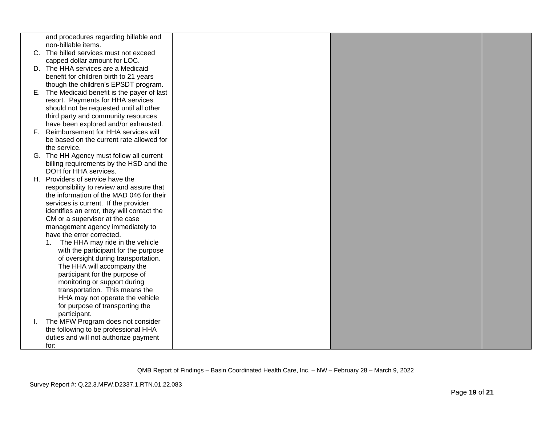|    | and procedures regarding billable and        |  |  |
|----|----------------------------------------------|--|--|
|    | non-billable items.                          |  |  |
|    | C. The billed services must not exceed       |  |  |
|    | capped dollar amount for LOC.                |  |  |
|    | D. The HHA services are a Medicaid           |  |  |
|    | benefit for children birth to 21 years       |  |  |
|    |                                              |  |  |
|    | though the children's EPSDT program.         |  |  |
|    | E. The Medicaid benefit is the payer of last |  |  |
|    | resort. Payments for HHA services            |  |  |
|    | should not be requested until all other      |  |  |
|    | third party and community resources          |  |  |
|    | have been explored and/or exhausted.         |  |  |
|    | F. Reimbursement for HHA services will       |  |  |
|    | be based on the current rate allowed for     |  |  |
|    | the service.                                 |  |  |
|    | G. The HH Agency must follow all current     |  |  |
|    | billing requirements by the HSD and the      |  |  |
|    | DOH for HHA services.                        |  |  |
|    | H. Providers of service have the             |  |  |
|    | responsibility to review and assure that     |  |  |
|    | the information of the MAD 046 for their     |  |  |
|    | services is current. If the provider         |  |  |
|    | identifies an error, they will contact the   |  |  |
|    | CM or a supervisor at the case               |  |  |
|    | management agency immediately to             |  |  |
|    | have the error corrected.                    |  |  |
|    | The HHA may ride in the vehicle<br>1.        |  |  |
|    | with the participant for the purpose         |  |  |
|    | of oversight during transportation.          |  |  |
|    | The HHA will accompany the                   |  |  |
|    | participant for the purpose of               |  |  |
|    | monitoring or support during                 |  |  |
|    | transportation. This means the               |  |  |
|    | HHA may not operate the vehicle              |  |  |
|    | for purpose of transporting the              |  |  |
|    | participant.                                 |  |  |
| L. | The MFW Program does not consider            |  |  |
|    | the following to be professional HHA         |  |  |
|    |                                              |  |  |
|    | duties and will not authorize payment        |  |  |
|    | for:                                         |  |  |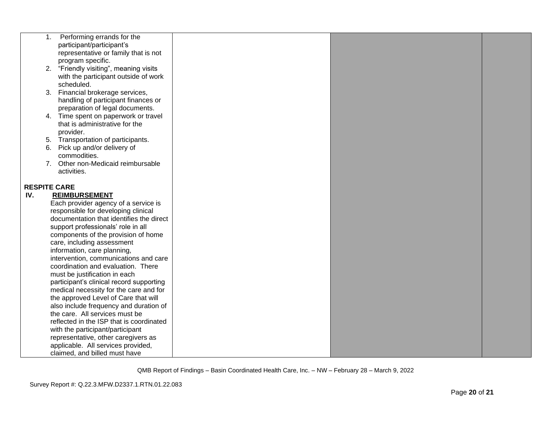|     | 1. | Performing errands for the                    |  |  |
|-----|----|-----------------------------------------------|--|--|
|     |    | participant/participant's                     |  |  |
|     |    | representative or family that is not          |  |  |
|     |    | program specific.                             |  |  |
|     |    | 2. "Friendly visiting", meaning visits        |  |  |
|     |    | with the participant outside of work          |  |  |
|     |    | scheduled.                                    |  |  |
|     |    | 3. Financial brokerage services,              |  |  |
|     |    | handling of participant finances or           |  |  |
|     |    | preparation of legal documents.               |  |  |
|     |    | 4. Time spent on paperwork or travel          |  |  |
|     |    | that is administrative for the                |  |  |
|     |    | provider.                                     |  |  |
|     |    | 5. Transportation of participants.            |  |  |
|     |    | 6. Pick up and/or delivery of<br>commodities. |  |  |
|     |    | 7. Other non-Medicaid reimbursable            |  |  |
|     |    | activities.                                   |  |  |
|     |    |                                               |  |  |
|     |    | <b>RESPITE CARE</b>                           |  |  |
| IV. |    | <b>REIMBURSEMENT</b>                          |  |  |
|     |    | Each provider agency of a service is          |  |  |
|     |    | responsible for developing clinical           |  |  |
|     |    | documentation that identifies the direct      |  |  |
|     |    | support professionals' role in all            |  |  |
|     |    | components of the provision of home           |  |  |
|     |    | care, including assessment                    |  |  |
|     |    | information, care planning,                   |  |  |
|     |    | intervention, communications and care         |  |  |
|     |    | coordination and evaluation. There            |  |  |
|     |    | must be justification in each                 |  |  |
|     |    | participant's clinical record supporting      |  |  |
|     |    | medical necessity for the care and for        |  |  |
|     |    | the approved Level of Care that will          |  |  |
|     |    | also include frequency and duration of        |  |  |
|     |    | the care. All services must be                |  |  |
|     |    | reflected in the ISP that is coordinated      |  |  |
|     |    | with the participant/participant              |  |  |
|     |    | representative, other caregivers as           |  |  |
|     |    | applicable. All services provided,            |  |  |
|     |    | claimed, and billed must have                 |  |  |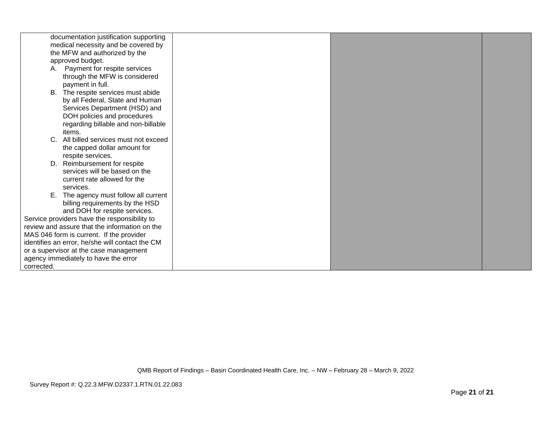| medical necessity and be covered by<br>the MFW and authorized by the<br>approved budget.<br>A. Payment for respite services<br>through the MFW is considered<br>payment in full.<br>B. The respite services must abide<br>by all Federal, State and Human<br>Services Department (HSD) and<br>DOH policies and procedures<br>regarding billable and non-billable<br>items.<br>All billed services must not exceed<br>$C_{\cdot}$<br>the capped dollar amount for<br>respite services.<br>Reimbursement for respite<br>D.<br>services will be based on the<br>current rate allowed for the<br>services.<br>The agency must follow all current<br>Ε.<br>billing requirements by the HSD<br>and DOH for respite services. |
|------------------------------------------------------------------------------------------------------------------------------------------------------------------------------------------------------------------------------------------------------------------------------------------------------------------------------------------------------------------------------------------------------------------------------------------------------------------------------------------------------------------------------------------------------------------------------------------------------------------------------------------------------------------------------------------------------------------------|
|                                                                                                                                                                                                                                                                                                                                                                                                                                                                                                                                                                                                                                                                                                                        |
|                                                                                                                                                                                                                                                                                                                                                                                                                                                                                                                                                                                                                                                                                                                        |
|                                                                                                                                                                                                                                                                                                                                                                                                                                                                                                                                                                                                                                                                                                                        |
|                                                                                                                                                                                                                                                                                                                                                                                                                                                                                                                                                                                                                                                                                                                        |
|                                                                                                                                                                                                                                                                                                                                                                                                                                                                                                                                                                                                                                                                                                                        |
|                                                                                                                                                                                                                                                                                                                                                                                                                                                                                                                                                                                                                                                                                                                        |
|                                                                                                                                                                                                                                                                                                                                                                                                                                                                                                                                                                                                                                                                                                                        |
|                                                                                                                                                                                                                                                                                                                                                                                                                                                                                                                                                                                                                                                                                                                        |
|                                                                                                                                                                                                                                                                                                                                                                                                                                                                                                                                                                                                                                                                                                                        |
|                                                                                                                                                                                                                                                                                                                                                                                                                                                                                                                                                                                                                                                                                                                        |
|                                                                                                                                                                                                                                                                                                                                                                                                                                                                                                                                                                                                                                                                                                                        |
|                                                                                                                                                                                                                                                                                                                                                                                                                                                                                                                                                                                                                                                                                                                        |
|                                                                                                                                                                                                                                                                                                                                                                                                                                                                                                                                                                                                                                                                                                                        |
|                                                                                                                                                                                                                                                                                                                                                                                                                                                                                                                                                                                                                                                                                                                        |
|                                                                                                                                                                                                                                                                                                                                                                                                                                                                                                                                                                                                                                                                                                                        |
|                                                                                                                                                                                                                                                                                                                                                                                                                                                                                                                                                                                                                                                                                                                        |
|                                                                                                                                                                                                                                                                                                                                                                                                                                                                                                                                                                                                                                                                                                                        |
|                                                                                                                                                                                                                                                                                                                                                                                                                                                                                                                                                                                                                                                                                                                        |
|                                                                                                                                                                                                                                                                                                                                                                                                                                                                                                                                                                                                                                                                                                                        |
|                                                                                                                                                                                                                                                                                                                                                                                                                                                                                                                                                                                                                                                                                                                        |
|                                                                                                                                                                                                                                                                                                                                                                                                                                                                                                                                                                                                                                                                                                                        |
|                                                                                                                                                                                                                                                                                                                                                                                                                                                                                                                                                                                                                                                                                                                        |
| Service providers have the responsibility to                                                                                                                                                                                                                                                                                                                                                                                                                                                                                                                                                                                                                                                                           |
| review and assure that the information on the                                                                                                                                                                                                                                                                                                                                                                                                                                                                                                                                                                                                                                                                          |
| MAS 046 form is current. If the provider                                                                                                                                                                                                                                                                                                                                                                                                                                                                                                                                                                                                                                                                               |
| identifies an error, he/she will contact the CM                                                                                                                                                                                                                                                                                                                                                                                                                                                                                                                                                                                                                                                                        |
| or a supervisor at the case management                                                                                                                                                                                                                                                                                                                                                                                                                                                                                                                                                                                                                                                                                 |
| agency immediately to have the error                                                                                                                                                                                                                                                                                                                                                                                                                                                                                                                                                                                                                                                                                   |
| corrected.                                                                                                                                                                                                                                                                                                                                                                                                                                                                                                                                                                                                                                                                                                             |